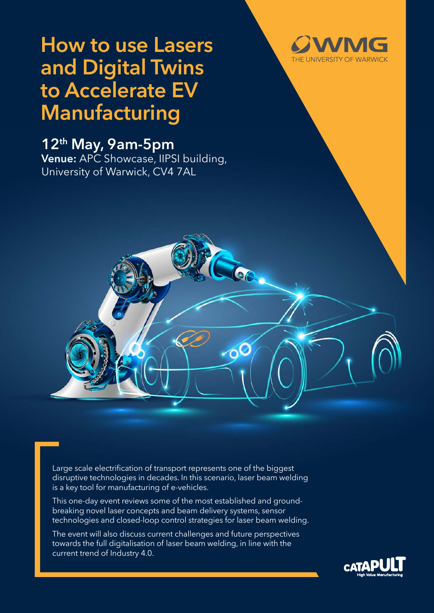# **How to use Lasers and Digital Twins to Accelerate EV Manufacturing**

## **12th May, 9am-5pm**

**Venue:** APC Showcase, IIPSI building, University of Warwick, CV4 7AL



Large scale electrification of transport represents one of the biggest disruptive technologies in decades. In this scenario, laser beam welding is a key tool for manufacturing of e-vehicles.

 $\Diamond$ 

This one-day event reviews some of the most established and groundbreaking novel laser concepts and beam delivery systems, sensor technologies and closed-loop control strategies for laser beam welding.

The event will also discuss current challenges and future perspectives towards the full digitalisation of laser beam welding, in line with the current trend of Industry 4.0.

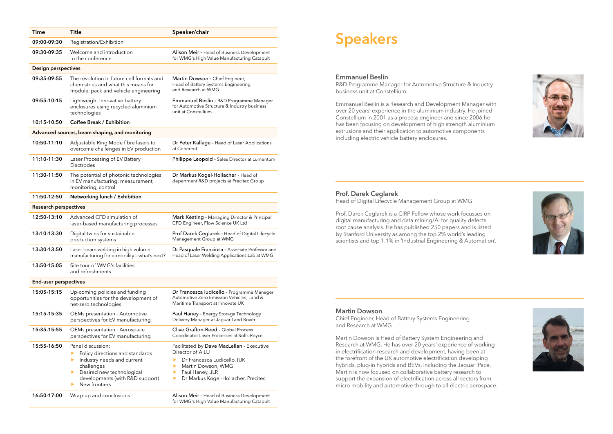## **Speakers**

#### **Emmanuel Beslin**

R&D Programme Manager for Automotive Structure & Industry business unit at Constellium

Emmanuel Beslin is a Research and Development Manager with over 20 years' experience in the aluminium industry. He joined Constellium in 2001 as a process engineer and since 2006 he has been focusing on development of high strength aluminium extrusions and their application to automotive components including electric vehicle battery enclosures.

### **Prof. Darek Ceglarek**

Head of Digital Lifecycle Management Group at WMG

Prof. Darek Ceglarek is a CIRP Fellow whose work focusses on digital manufacturing and data mining/AI for quality defects root cause analysis. He has published 250 papers and is listed by Stanford University as among the top 2% world's leading scientists and top 1.1% in 'Industrial Engineering & Automation'.

#### **Martin Dowson**

Chief Engineer, Head of Battery Systems Engineering and Research at WMG

Martin Dowson is Head of Battery System Engineering and Research at WMG. He has over 20 years' experience of working in electrification research and development, having been at the forefront of the UK automotive electrification developing hybrids, plug-in hybrids and BEVs, including the Jaguar iPace. Martin is now focused on collaborative battery research to support the expansion of electrification across all sectors from micro mobility and automotive through to all-electric aerospace.







| <b>Time</b>                                    | <b>Title</b>                                                                                                                                                                                          | Speaker/chair                                                                                                                                                                     |
|------------------------------------------------|-------------------------------------------------------------------------------------------------------------------------------------------------------------------------------------------------------|-----------------------------------------------------------------------------------------------------------------------------------------------------------------------------------|
| 09:00-09:30                                    | Registration/Exhibition                                                                                                                                                                               |                                                                                                                                                                                   |
| 09:30-09:35                                    | Welcome and introduction<br>to the conference                                                                                                                                                         | Alison Meir - Head of Business Development<br>for WMG's High Value Manufacturing Catapult                                                                                         |
| <b>Design perspectives</b>                     |                                                                                                                                                                                                       |                                                                                                                                                                                   |
| 09:35-09:55                                    | The revolution in future cell formats and<br>chemistries and what this means for<br>module, pack and vehicle engineering                                                                              | Martin Dowson - Chief Engineer,<br>Head of Battery Systems Engineering<br>and Research at WMG                                                                                     |
| 09:55-10:15                                    | Lightweight innovative battery<br>enclosures using recycled aluminium<br>technologies                                                                                                                 | Emmanuel Beslin - R&D Programme Manager<br>for Automotive Structure & Industry business<br>unit at Constellium                                                                    |
| 10:15-10:50                                    | <b>Coffee Break / Exhibition</b>                                                                                                                                                                      |                                                                                                                                                                                   |
| Advanced sources, beam shaping, and monitoring |                                                                                                                                                                                                       |                                                                                                                                                                                   |
| 10:50-11:10                                    | Adjustable Ring Mode fibre lasers to<br>overcome challenges in EV production                                                                                                                          | Dr Peter Kallage - Head of Laser Applications<br>at Coherent                                                                                                                      |
| 11:10-11:30                                    | Laser Processing of EV Battery<br>Electrodes                                                                                                                                                          | Philippe Leopold - Sales Director at Lumentum                                                                                                                                     |
| 11:30-11:50                                    | The potential of photonic technologies<br>in EV manufacturing: measurement,<br>monitoring, control                                                                                                    | Dr Markus Kogel-Hollacher - Head of<br>department R&D projects at Precitec Group                                                                                                  |
| 11:50-12:50                                    | Networking lunch / Exhibition                                                                                                                                                                         |                                                                                                                                                                                   |
| <b>Research perspectives</b>                   |                                                                                                                                                                                                       |                                                                                                                                                                                   |
| 12:50-13:10                                    | Advanced CFD simulation of<br>laser-based manufacturing processes                                                                                                                                     | Mark Keating - Managing Director & Principal<br>CFD Engineer, Flow Science UK Ltd                                                                                                 |
| 13:10-13:30                                    | Digital twins for sustainable<br>production systems                                                                                                                                                   | Prof Darek Ceglarek - Head of Digital Lifecycle<br>Management Group at WMG                                                                                                        |
| 13:30-13:50                                    | Laser beam welding in high volume<br>manufacturing for e-mobility - what's next?                                                                                                                      | Dr Pasquale Franciosa - Associate Professor and<br>Head of Laser Welding Applications Lab at WMG                                                                                  |
| 13:50-15:05                                    | Site tour of WMG's facilities<br>and refreshments                                                                                                                                                     |                                                                                                                                                                                   |
| <b>End-user perspectives</b>                   |                                                                                                                                                                                                       |                                                                                                                                                                                   |
| 15:05-15:15                                    | Up-coming policies and funding<br>opportunities for the development of<br>net-zero technologies                                                                                                       | Dr Francesca Iudicello - Programme Manager<br>Automotive Zero Emission Vehicles, Land &<br>Maritime Transport at Innovate UK                                                      |
| 15:15-15:35                                    | OEMs presentation - Automotive<br>perspectives for EV manufacturing                                                                                                                                   | Paul Haney - Energy Storage Technology<br>Delivery Manager at Jaguar Land Rover                                                                                                   |
| 15:35-15:55                                    | OEMs presentation - Aerospace<br>perspectives for EV manufacturing                                                                                                                                    | Clive Grafton-Reed - Global Process<br>Coordinator Laser Processes at Rolls-Royce                                                                                                 |
| 15:55-16:50                                    | Panel discussion:<br>Policy directions and standards<br>▶<br>Industry needs and current<br>▶<br>challenges<br>Desired new technological<br>▶<br>developments (with R&D support)<br>New frontiers<br>▶ | Facilitated by Dave MacLellan - Executive<br>Director of AILU<br>Dr Francesca Ludicello, IUK<br>Martin Dowson, WMG<br>Paul Haney, JLR<br>Dr Markus Kogel-Hollacher, Precitec<br>▶ |
| 16:50-17:00                                    | Wrap-up and conclusions                                                                                                                                                                               | <b>Alison Meir - Head of Business Development</b><br>for WMG's High Value Manufacturing Catapult                                                                                  |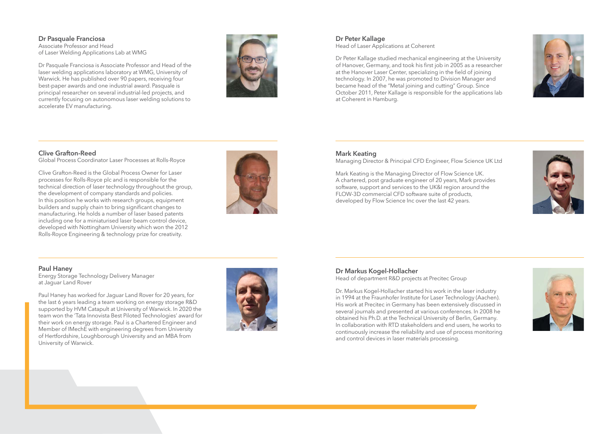**Dr Pasquale Franciosa** Associate Professor and Head of Laser Welding Applications Lab at WMG

Dr Pasquale Franciosa is Associate Professor and Head of the laser welding applications laboratory at WMG, University of Warwick. He has published over 90 papers, receiving four best-paper awards and one industrial award. Pasquale is principal researcher on several industrial-led projects, and currently focusing on autonomous laser welding solutions to accelerate EV manufacturing.



### **Clive Grafton-Reed**

Global Process Coordinator Laser Processes at Rolls-Royce

Clive Grafton-Reed is the Global Process Owner for Laser processes for Rolls-Royce plc and is responsible for the technical direction of laser technology throughout the group, the development of company standards and policies. In this position he works with research groups, equipment builders and supply chain to bring significant changes to manufacturing. He holds a number of laser based patents including one for a miniaturised laser beam control device, developed with Nottingham University which won the 2012 Rolls-Royce Engineering & technology prize for creativity.



#### **Paul Haney**

Energy Storage Technology Delivery Manager at Jaguar Land Rover

Paul Haney has worked for Jaguar Land Rover for 20 years, for the last 6 years leading a team working on energy storage R&D supported by HVM Catapult at University of Warwick. In 2020 the team won the 'Tata Innovista Best Piloted Technologies' award for their work on energy storage. Paul is a Chartered Engineer and Member of IMechE with engineering degrees from University of Hertfordshire, Loughborough University and an MBA from University of Warwick.



### **Dr Peter Kallage**

Head of Laser Applications at Coherent

Dr Peter Kallage studied mechanical engineering at the University of Hanover, Germany, and took his first job in 2005 as a researcher at the Hanover Laser Center, specializing in the field of joining technology. In 2007, he was promoted to Division Manager and became head of the "Metal joining and cutting" Group. Since October 2011, Peter Kallage is responsible for the applications lab at Coherent in Hamburg.

### **Mark Keating**

Managing Director & Principal CFD Engineer, Flow Science UK Ltd

Mark Keating is the Managing Director of Flow Science UK. A chartered, post graduate engineer of 20 years, Mark provides software, support and services to the UK&I region around the FLOW-3D commercial CFD software suite of products, developed by Flow Science Inc over the last 42 years.

#### **Dr Markus Kogel-Hollacher**

Head of department R&D projects at Precitec Group

Dr. Markus Kogel-Hollacher started his work in the laser industry in 1994 at the Fraunhofer Institute for Laser Technology (Aachen). His work at Precitec in Germany has been extensively discussed in several journals and presented at various conferences. In 2008 he obtained his Ph.D. at the Technical University of Berlin, Germany. In collaboration with RTD stakeholders and end users, he works to continuously increase the reliability and use of process monitoring and control devices in laser materials processing.





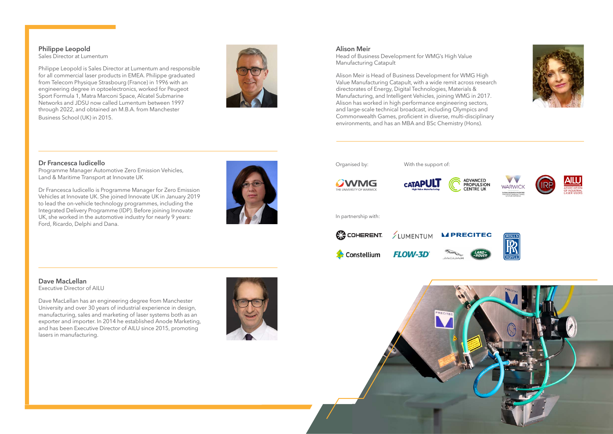**Philippe Leopold** Sales Director at Lumentum

Philippe Leopold is Sales Director at Lumentum and responsible for all commercial laser products in EMEA. Philippe graduated from Telecom Physique Strasbourg (France) in 1996 with an engineering degree in optoelectronics, worked for Peugeot Sport Formula 1, Matra Marconi Space, Alcatel Submarine Networks and JDSU now called Lumentum between 1997 through 2022, and obtained an M.B.A. from Manchester Business School (UK) in 2015.

**Dr Francesca Iudicello**

Programme Manager Automotive Zero Emission Vehicles,

Land & Maritime Transport at Innovate UK



Dr Francesca Iudicello is Programme Manager for Zero Emission Vehicles at Innovate UK. She joined Innovate UK in January 2019 to lead the on-vehicle technology programmes, including the Integrated Delivery Programme (IDP). Before joining Innovate UK, she worked in the automotive industry for nearly 9 years:

Ford, Ricardo, Delphi and Dana.

**Dave MacLellan**

Executive Director of AILU

Dave MacLellan has an engineering degree from Manchester University and over 30 years of industrial experience in design, manufacturing, sales and marketing of laser systems both as an exporter and importer. In 2014 he established Anode Marketing, and has been Executive Director of AILU since 2015, promoting lasers in manufacturing.





![](_page_3_Picture_13.jpeg)

![](_page_3_Picture_14.jpeg)

![](_page_3_Picture_15.jpeg)

![](_page_3_Picture_16.jpeg)

![](_page_3_Picture_17.jpeg)

![](_page_3_Picture_6.jpeg)

#### **Alison Meir**

Head of Business Development for WMG's High Value Manufacturing Catapult

Alison Meir is Head of Business Development for WMG High Value Manufacturing Catapult, with a wide remit across research directorates of Energy, Digital Technologies, Materials & Manufacturing, and Intelligent Vehicles, joining WMG in 2017. Alison has worked in high performance engineering sectors, and large-scale technical broadcast, including Olympics and Commonwealth Games, proficient in diverse, multi-disciplinary environments, and has an MBA and BSc Chemistry (Hons).